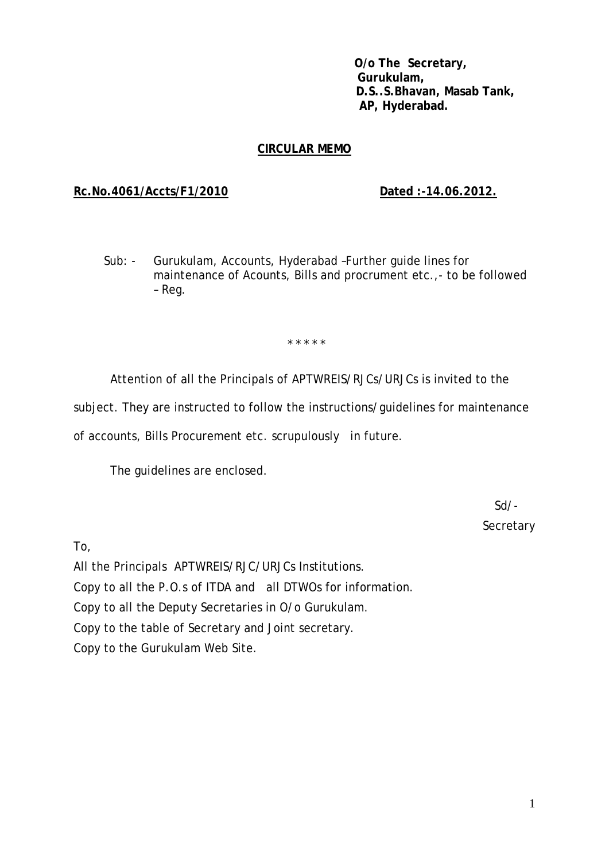**O/o The Secretary, Gurukulam, D.S..S.Bhavan, Masab Tank, AP, Hyderabad.** 

# **CIRCULAR MEMO**

### **Rc.No.4061/Accts/F1/2010 Dated :-14.06.2012.**

Sub: - Gurukulam, Accounts, Hyderabad –Further guide lines for maintenance of Acounts, Bills and procrument etc.,- to be followed – Reg.

\* \* \* \* \*

Attention of all the Principals of APTWREIS/RJCs/URJCs is invited to the

subject. They are instructed to follow the instructions/guidelines for maintenance

of accounts, Bills Procurement etc. scrupulously in future.

The guidelines are enclosed.

 $S$ d/- $S$ **Secretary** 

To,

All the Principals APTWREIS/RJC/URJCs Institutions. Copy to all the P.O.s of ITDA and all DTWOs for information. Copy to all the Deputy Secretaries in O/o Gurukulam. Copy to the table of Secretary and Joint secretary. Copy to the Gurukulam Web Site.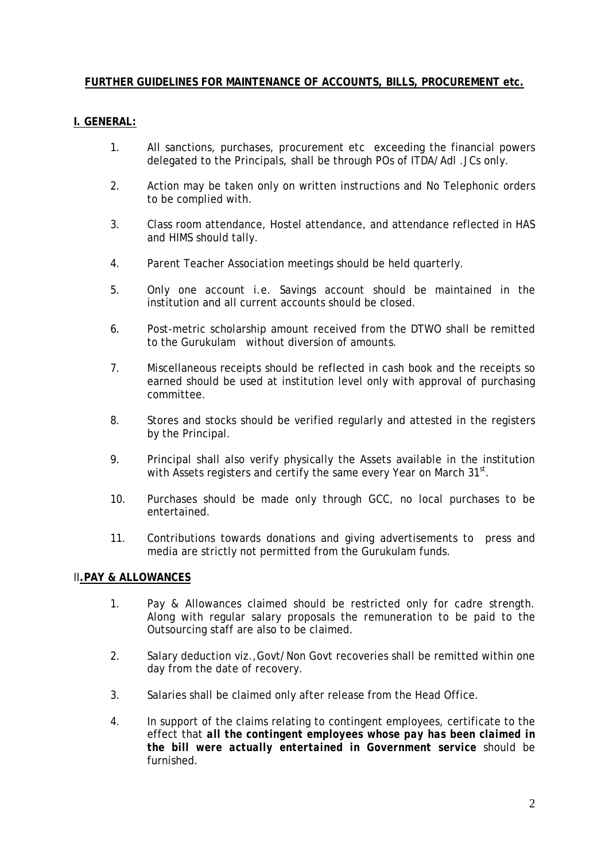## **FURTHER GUIDELINES FOR MAINTENANCE OF ACCOUNTS, BILLS, PROCUREMENT etc.**

### **I. GENERAL:**

- 1. All sanctions, purchases, procurement etc exceeding the financial powers delegated to the Principals, shall be through POs of ITDA/Adl .JCs only.
- 2. Action may be taken only on written instructions and No Telephonic orders to be complied with.
- 3. Class room attendance, Hostel attendance, and attendance reflected in HAS and HIMS should tally.
- 4. Parent Teacher Association meetings should be held quarterly.
- 5. Only one account i.e. Savings account should be maintained in the institution and all current accounts should be closed.
- 6. Post-metric scholarship amount received from the DTWO shall be remitted to the Gurukulam without diversion of amounts.
- 7. Miscellaneous receipts should be reflected in cash book and the receipts so earned should be used at institution level only with approval of purchasing committee.
- 8. Stores and stocks should be verified regularly and attested in the registers by the Principal.
- 9. Principal shall also verify physically the Assets available in the institution with Assets registers and certify the same every Year on March 31<sup>st</sup>.
- 10. Purchases should be made only through GCC, no local purchases to be entertained.
- 11. Contributions towards donations and giving advertisements to press and media are strictly not permitted from the Gurukulam funds.

## II**.PAY & ALLOWANCES**

- 1. Pay & Allowances claimed should be restricted only for cadre strength. Along with regular salary proposals the remuneration to be paid to the Outsourcing staff are also to be claimed.
- 2. Salary deduction viz.,Govt/Non Govt recoveries shall be remitted within one day from the date of recovery.
- 3. Salaries shall be claimed only after release from the Head Office.
- 4. In support of the claims relating to contingent employees, certificate to the effect that *all the contingent employees whose pay has been claimed in the bill were actually entertained in Government service* should be furnished.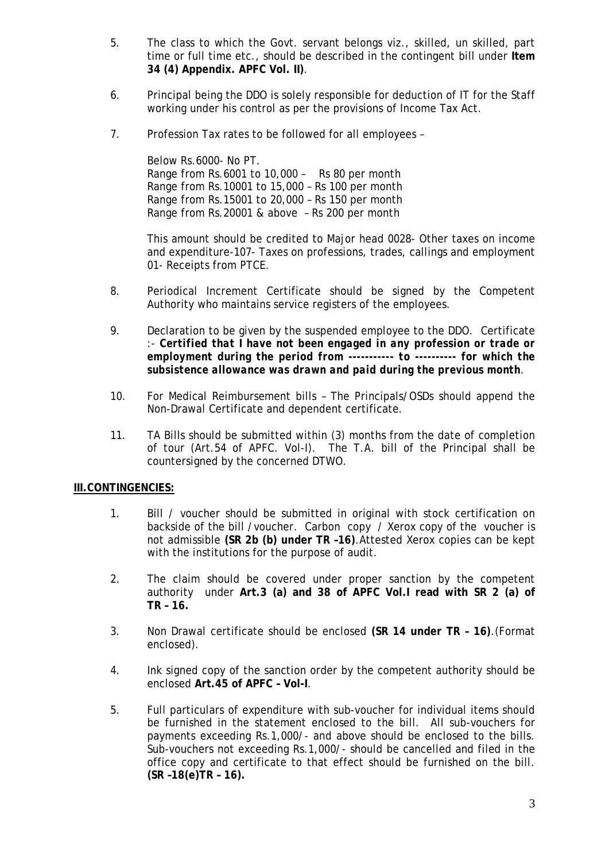- 5. The class to which the Govt. servant belongs viz., skilled, un skilled, part time or full time etc., should be described in the contingent bill under **Item 34 (4) Appendix. APFC Vol. II)**.
- 6. Principal being the DDO is solely responsible for deduction of IT for the Staff working under his control as per the provisions of Income Tax Act.
- 7. Profession Tax rates to be followed for all employees –

Below Rs.6000- No PT. Range from Rs.6001 to 10,000 – Rs 80 per month Range from Rs.10001 to 15,000 – Rs 100 per month Range from Rs.15001 to 20,000 – Rs 150 per month Range from Rs.20001 & above – Rs 200 per month

This amount should be credited to Major head 0028- Other taxes on income and expenditure-107- Taxes on professions, trades, callings and employment 01- Receipts from PTCE.

- 8. Periodical Increment Certificate should be signed by the Competent Authority who maintains service registers of the employees.
- 9. Declaration to be given by the suspended employee to the DDO. Certificate :- *Certified that I have not been engaged in any profession or trade or employment during the period from ----------- to ---------- for which the subsistence allowance was drawn and paid during the previous month*.
- 10. For Medical Reimbursement bills The Principals/OSDs should append the Non-Drawal Certificate and dependent certificate.
- 11. TA Bills should be submitted within (3) months from the date of completion of tour (Art.54 of APFC. Vol-I). The T.A. bill of the Principal shall be countersigned by the concerned DTWO.

#### **III.CONTINGENCIES:**

- 1. Bill / voucher should be submitted in original with stock certification on backside of the bill /voucher. Carbon copy / Xerox copy of the voucher is not admissible **(SR 2b (b) under TR –16)**.Attested Xerox copies can be kept with the institutions for the purpose of audit.
- 2. The claim should be covered under proper sanction by the competent authority under **Art.3 (a) and 38 of APFC Vol.I read with SR 2 (a) of TR – 16.**
- 3. Non Drawal certificate should be enclosed **(SR 14 under TR 16)**.(Format enclosed).
- 4. Ink signed copy of the sanction order by the competent authority should be enclosed **Art.45 of APFC – Vol-I**.
- 5. Full particulars of expenditure with sub-voucher for individual items should be furnished in the statement enclosed to the bill. All sub-vouchers for payments exceeding Rs.1,000/- and above should be enclosed to the bills. Sub-vouchers not exceeding Rs.1,000/- should be cancelled and filed in the office copy and certificate to that effect should be furnished on the bill. **(SR –18(e)TR – 16).**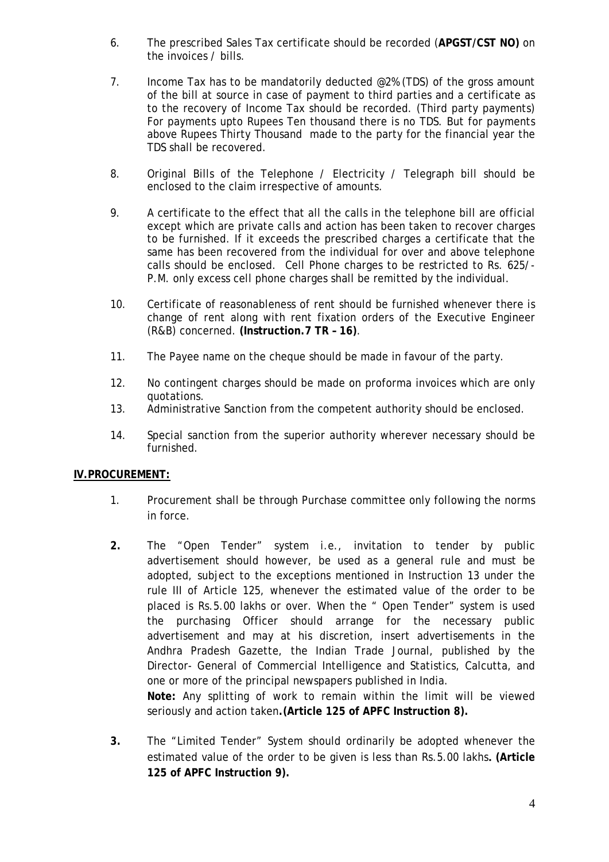- 6. The prescribed Sales Tax certificate should be recorded (**APGST/CST NO)** on the invoices / bills.
- 7. Income Tax has to be mandatorily deducted  $@2\%$  (TDS) of the gross amount of the bill at source in case of payment to third parties and a certificate as to the recovery of Income Tax should be recorded. (Third party payments) For payments upto Rupees Ten thousand there is no TDS. But for payments above Rupees Thirty Thousand made to the party for the financial year the TDS shall be recovered.
- 8. Original Bills of the Telephone / Electricity / Telegraph bill should be enclosed to the claim irrespective of amounts.
- 9. A certificate to the effect that all the calls in the telephone bill are official except which are private calls and action has been taken to recover charges to be furnished. If it exceeds the prescribed charges a certificate that the same has been recovered from the individual for over and above telephone calls should be enclosed. Cell Phone charges to be restricted to Rs. 625/- P.M. only excess cell phone charges shall be remitted by the individual.
- 10. Certificate of reasonableness of rent should be furnished whenever there is change of rent along with rent fixation orders of the Executive Engineer (R&B) concerned. **(Instruction.7 TR – 16)**.
- 11. The Payee name on the cheque should be made in favour of the party.
- 12. No contingent charges should be made on proforma invoices which are only quotations.
- 13. Administrative Sanction from the competent authority should be enclosed.
- 14. Special sanction from the superior authority wherever necessary should be furnished.

#### **IV.PROCUREMENT:**

- 1. Procurement shall be through Purchase committee only following the norms in force.
- **2.** The "Open Tender" system i.e., invitation to tender by public advertisement should however, be used as a general rule and must be adopted, subject to the exceptions mentioned in Instruction 13 under the rule III of Article 125, whenever the estimated value of the order to be placed is Rs.5.00 lakhs or over. When the " Open Tender" system is used the purchasing Officer should arrange for the necessary public advertisement and may at his discretion, insert advertisements in the Andhra Pradesh Gazette, the Indian Trade Journal, published by the Director- General of Commercial Intelligence and Statistics, Calcutta, and one or more of the principal newspapers published in India. **Note:** Any splitting of work to remain within the limit will be viewed

seriously and action taken**.(Article 125 of APFC Instruction 8).** 

**3.** The "Limited Tender" System should ordinarily be adopted whenever the estimated value of the order to be given is less than Rs.5.00 lakhs**. (Article 125 of APFC Instruction 9).**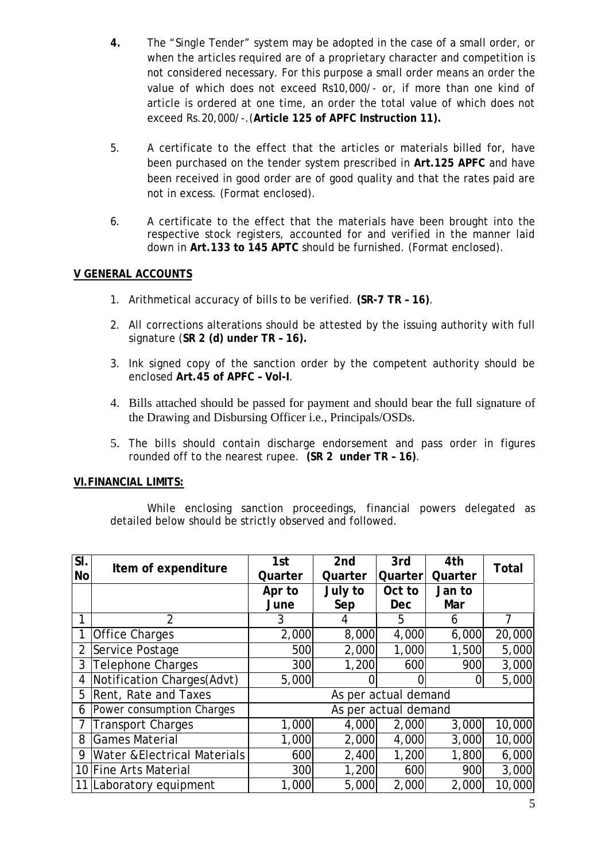- **4.** The "Single Tender" system may be adopted in the case of a small order, or when the articles required are of a proprietary character and competition is not considered necessary. For this purpose a small order means an order the value of which does not exceed Rs10,000/- or, if more than one kind of article is ordered at one time, an order the total value of which does not exceed Rs.20,000/-.(**Article 125 of APFC Instruction 11).**
- 5. A certificate to the effect that the articles or materials billed for, have been purchased on the tender system prescribed in **Art.125 APFC** and have been received in good order are of good quality and that the rates paid are not in excess. (Format enclosed).
- 6. A certificate to the effect that the materials have been brought into the respective stock registers, accounted for and verified in the manner laid down in **Art.133 to 145 APTC** should be furnished. (Format enclosed).

## **V GENERAL ACCOUNTS**

- 1. Arithmetical accuracy of bills to be verified. **(SR-7 TR 16)**.
- 2. All corrections alterations should be attested by the issuing authority with full signature (**SR 2 (d) under TR – 16).**
- 3. Ink signed copy of the sanction order by the competent authority should be enclosed **Art.45 of APFC – Vol-I**.
- 4. Bills attached should be passed for payment and should bear the full signature of the Drawing and Disbursing Officer i.e., Principals/OSDs.
- 5. The bills should contain discharge endorsement and pass order in figures rounded off to the nearest rupee. **(SR 2 under TR – 16)**.

#### **VI.FINANCIAL LIMITS:**

While enclosing sanction proceedings, financial powers delegated as detailed below should be strictly observed and followed.

| $\overline{\overline{\text{SI}}}$ | Item of expenditure                     | 1st                  | 2 <sub>nd</sub> | 3rd        | 4th     | Total  |  |  |
|-----------------------------------|-----------------------------------------|----------------------|-----------------|------------|---------|--------|--|--|
| <b>No</b>                         |                                         | Quarter              | Quarter         | Quarter    | Quarter |        |  |  |
|                                   |                                         | Apr to               | July to         | Oct to     | Jan to  |        |  |  |
|                                   |                                         | June                 | Sep             | <b>Dec</b> | Mar     |        |  |  |
|                                   | $\overline{2}$                          | 3                    | 4               | 5          | 6       | 7      |  |  |
|                                   | <b>Office Charges</b>                   | 2,000                | 8,000           | 4,000      | 6,000   | 20,000 |  |  |
| 2                                 | Service Postage                         | 500                  | 2,000           | 1,000      | 1,500   | 5,000  |  |  |
| 3                                 | <b>Telephone Charges</b>                | 300                  | 1,200           | 600        | 900     | 3,000  |  |  |
| 4                                 | Notification Charges(Advt)              | 5,000                |                 |            |         | 5,000  |  |  |
| 5                                 | Rent, Rate and Taxes                    | As per actual demand |                 |            |         |        |  |  |
| 6                                 | Power consumption Charges               | As per actual demand |                 |            |         |        |  |  |
|                                   | <b>Transport Charges</b>                | 1,000                | 4,000           | 2,000      | 3,000   | 10,000 |  |  |
| 8                                 | <b>Games Material</b>                   | 1,000                | 2,000           | 4,000      | 3,000   | 10,000 |  |  |
| 9                                 | <b>Water &amp; Electrical Materials</b> | 600                  | 2,400           | 1,200      | 1,800   | 6,000  |  |  |
|                                   | 10 Fine Arts Material                   | 300                  | 1,200           | 600        | 900     | 3,000  |  |  |
|                                   | 11 Laboratory equipment                 | 1,000                | 5,000           | 2,000      | 2,000   | 10,000 |  |  |